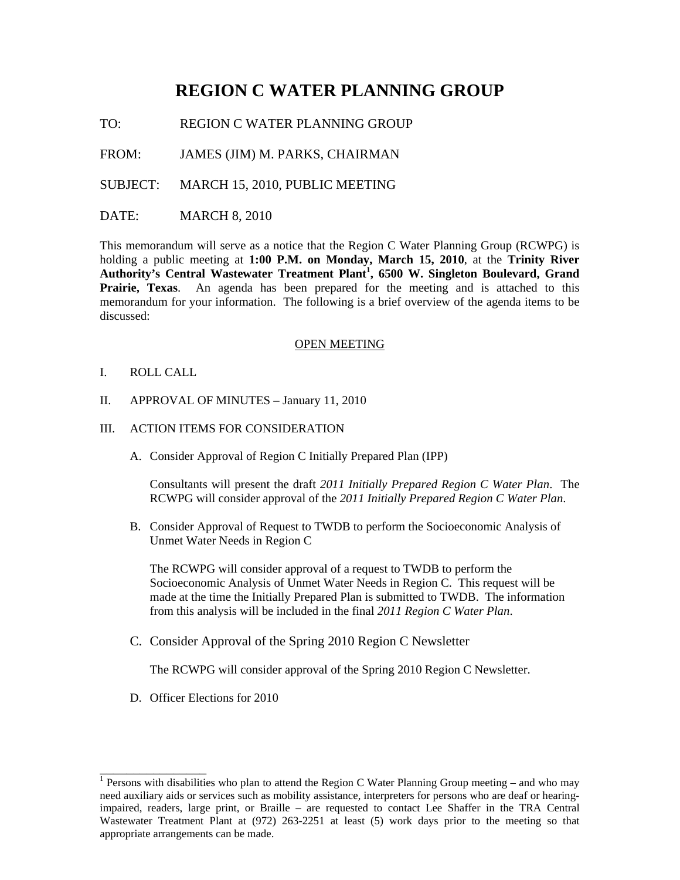# **REGION C WATER PLANNING GROUP**

TO: REGION C WATER PLANNING GROUP

FROM: JAMES (JIM) M. PARKS, CHAIRMAN

SUBJECT: MARCH 15, 2010, PUBLIC MEETING

DATE: MARCH 8, 2010

This memorandum will serve as a notice that the Region C Water Planning Group (RCWPG) is holding a public meeting at **1:00 P.M. on Monday, March 15, 2010**, at the **Trinity River Authority's Central Wastewater Treatment Plant<sup>1</sup> , 6500 W. Singleton Boulevard, Grand Prairie, Texas**. An agenda has been prepared for the meeting and is attached to this memorandum for your information. The following is a brief overview of the agenda items to be discussed:

#### OPEN MEETING

- I. ROLL CALL
- II. APPROVAL OF MINUTES January 11, 2010
- III. ACTION ITEMS FOR CONSIDERATION
	- A. Consider Approval of Region C Initially Prepared Plan (IPP)

Consultants will present the draft *2011 Initially Prepared Region C Water Plan*. The RCWPG will consider approval of the *2011 Initially Prepared Region C Water Plan*.

B. Consider Approval of Request to TWDB to perform the Socioeconomic Analysis of Unmet Water Needs in Region C

The RCWPG will consider approval of a request to TWDB to perform the Socioeconomic Analysis of Unmet Water Needs in Region C. This request will be made at the time the Initially Prepared Plan is submitted to TWDB. The information from this analysis will be included in the final *2011 Region C Water Plan*.

C. Consider Approval of the Spring 2010 Region C Newsletter

The RCWPG will consider approval of the Spring 2010 Region C Newsletter.

D. Officer Elections for 2010

\_\_\_\_\_\_\_\_\_\_\_\_\_\_\_\_

<sup>&</sup>lt;sup>1</sup> Persons with disabilities who plan to attend the Region C Water Planning Group meeting – and who may need auxiliary aids or services such as mobility assistance, interpreters for persons who are deaf or hearingimpaired, readers, large print, or Braille – are requested to contact Lee Shaffer in the TRA Central Wastewater Treatment Plant at (972) 263-2251 at least (5) work days prior to the meeting so that appropriate arrangements can be made.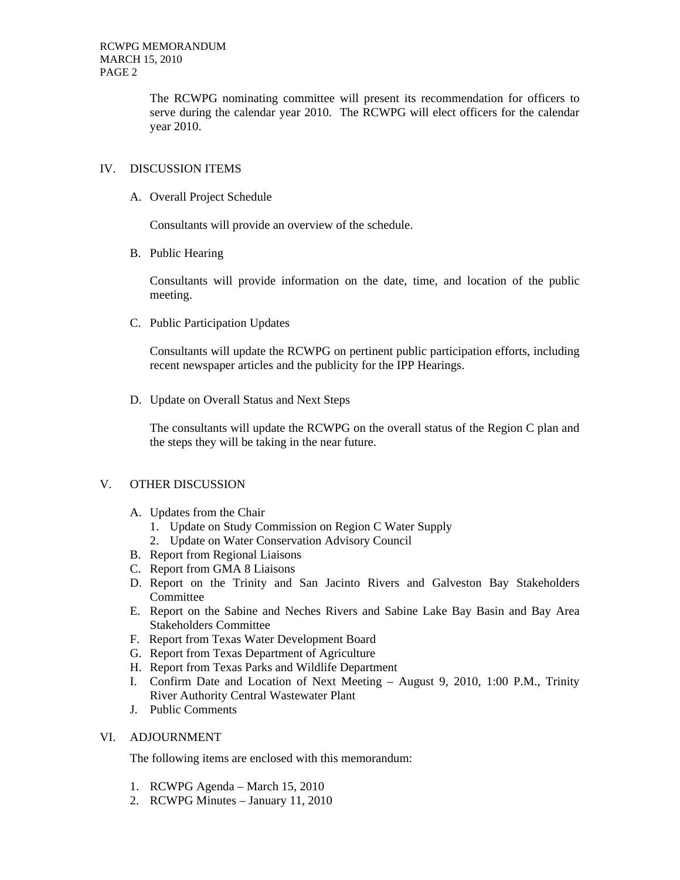The RCWPG nominating committee will present its recommendation for officers to serve during the calendar year 2010. The RCWPG will elect officers for the calendar year 2010.

# IV. DISCUSSION ITEMS

A. Overall Project Schedule

Consultants will provide an overview of the schedule.

B. Public Hearing

Consultants will provide information on the date, time, and location of the public meeting.

C. Public Participation Updates

Consultants will update the RCWPG on pertinent public participation efforts, including recent newspaper articles and the publicity for the IPP Hearings.

D. Update on Overall Status and Next Steps

The consultants will update the RCWPG on the overall status of the Region C plan and the steps they will be taking in the near future.

## V. OTHER DISCUSSION

- A. Updates from the Chair
	- 1. Update on Study Commission on Region C Water Supply
	- 2. Update on Water Conservation Advisory Council
- B. Report from Regional Liaisons
- C. Report from GMA 8 Liaisons
- D. Report on the Trinity and San Jacinto Rivers and Galveston Bay Stakeholders Committee
- E. Report on the Sabine and Neches Rivers and Sabine Lake Bay Basin and Bay Area Stakeholders Committee
- F. Report from Texas Water Development Board
- G. Report from Texas Department of Agriculture
- H. Report from Texas Parks and Wildlife Department
- I. Confirm Date and Location of Next Meeting August 9, 2010, 1:00 P.M., Trinity River Authority Central Wastewater Plant
- J. Public Comments

## VI. ADJOURNMENT

The following items are enclosed with this memorandum:

- 1. RCWPG Agenda March 15, 2010
- 2. RCWPG Minutes January 11, 2010